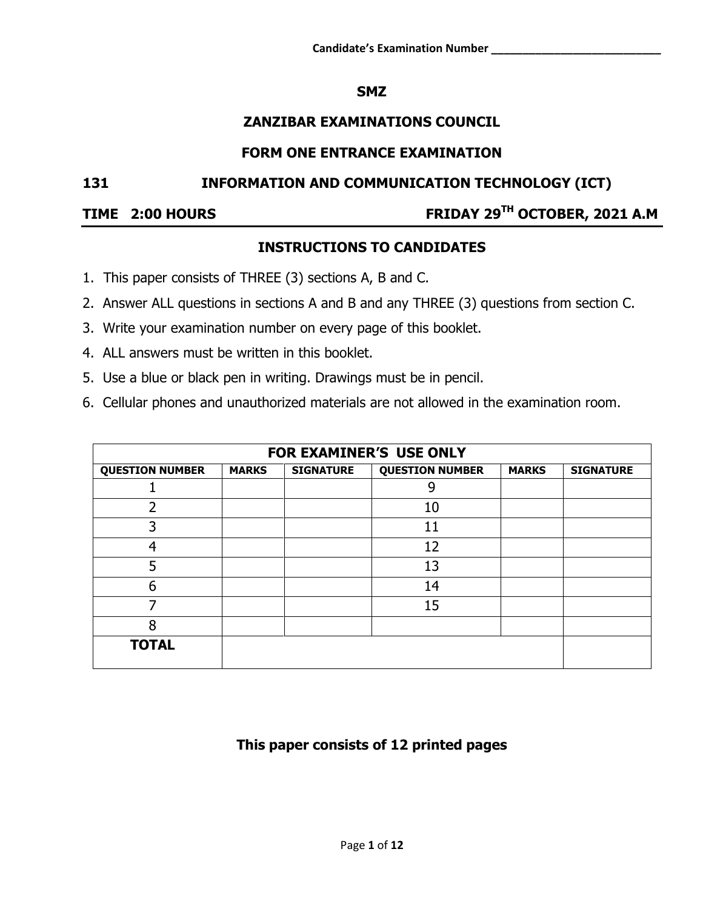### **SMZ**

## **ZANZIBAR EXAMINATIONS COUNCIL**

#### **FORM ONE ENTRANCE EXAMINATION**

#### **131 INFORMATION AND COMMUNICATION TECHNOLOGY (ICT)**

#### **TIME 2:00 HOURS**

# **TH OCTOBER, 2021 A.M**

## **INSTRUCTIONS TO CANDIDATES**

- 1. This paper consists of THREE (3) sections A, B and C.
- 2. Answer ALL questions in sections A and B and any THREE (3) questions from section C.
- 3. Write your examination number on every page of this booklet.
- 4. ALL answers must be written in this booklet.
- 5. Use a blue or black pen in writing. Drawings must be in pencil.
- 6. Cellular phones and unauthorized materials are not allowed in the examination room.

| FOR EXAMINER'S USE ONLY |              |                  |                        |              |                  |  |  |  |
|-------------------------|--------------|------------------|------------------------|--------------|------------------|--|--|--|
| <b>QUESTION NUMBER</b>  | <b>MARKS</b> | <b>SIGNATURE</b> | <b>QUESTION NUMBER</b> | <b>MARKS</b> | <b>SIGNATURE</b> |  |  |  |
|                         |              |                  |                        |              |                  |  |  |  |
| 2                       |              |                  | 10                     |              |                  |  |  |  |
| 3                       |              |                  | 11                     |              |                  |  |  |  |
| 4                       |              |                  | 12                     |              |                  |  |  |  |
| 5                       |              |                  | 13                     |              |                  |  |  |  |
| 6                       |              |                  | 14                     |              |                  |  |  |  |
|                         |              |                  | 15                     |              |                  |  |  |  |
| 8                       |              |                  |                        |              |                  |  |  |  |
| <b>TOTAL</b>            |              |                  |                        |              |                  |  |  |  |

## **This paper consists of 12 printed pages**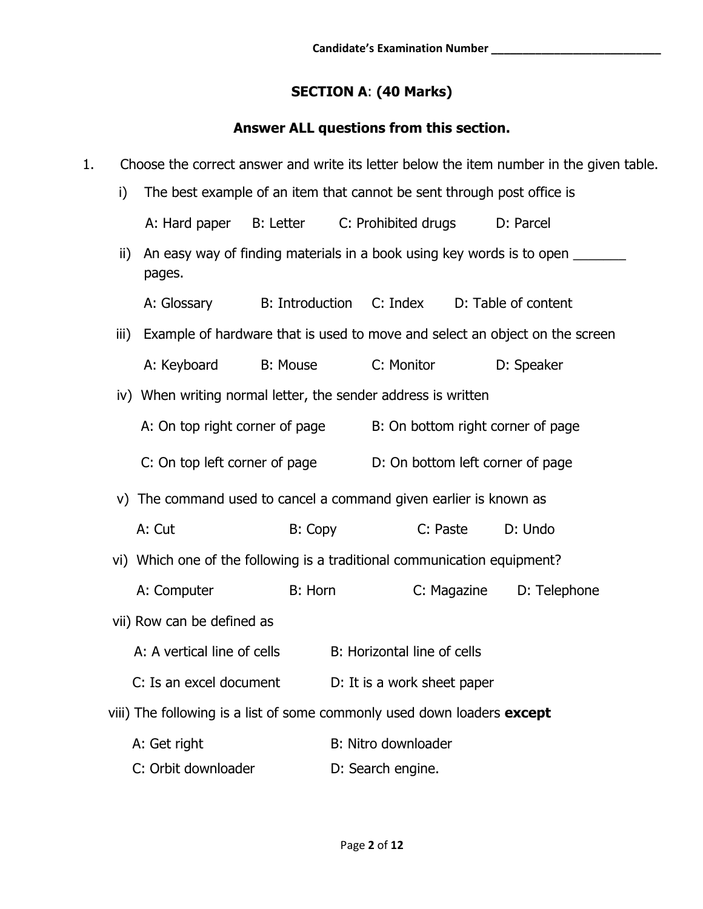## **SECTION A**: **(40 Marks)**

## **Answer ALL questions from this section.**

| 1.                                                            |      | Choose the correct answer and write its letter below the item number in the given table. |                        |                                                                        |                                                                   |             |                     |  |  |
|---------------------------------------------------------------|------|------------------------------------------------------------------------------------------|------------------------|------------------------------------------------------------------------|-------------------------------------------------------------------|-------------|---------------------|--|--|
|                                                               | i)   |                                                                                          |                        | The best example of an item that cannot be sent through post office is |                                                                   |             |                     |  |  |
|                                                               |      | A: Hard paper B: Letter                                                                  |                        |                                                                        | C: Prohibited drugs                                               |             | D: Parcel           |  |  |
|                                                               | ii)  | An easy way of finding materials in a book using key words is to open<br>pages.          |                        |                                                                        |                                                                   |             |                     |  |  |
|                                                               |      | A: Glossary                                                                              | <b>B:</b> Introduction |                                                                        | C: Index                                                          |             | D: Table of content |  |  |
|                                                               | iii) | Example of hardware that is used to move and select an object on the screen              |                        |                                                                        |                                                                   |             |                     |  |  |
|                                                               |      | A: Keyboard                                                                              | <b>B: Mouse</b>        |                                                                        | C: Monitor                                                        |             | D: Speaker          |  |  |
| iv) When writing normal letter, the sender address is written |      |                                                                                          |                        |                                                                        |                                                                   |             |                     |  |  |
|                                                               |      | A: On top right corner of page                                                           |                        |                                                                        | B: On bottom right corner of page                                 |             |                     |  |  |
|                                                               |      | C: On top left corner of page                                                            |                        |                                                                        | D: On bottom left corner of page                                  |             |                     |  |  |
|                                                               |      |                                                                                          |                        |                                                                        | v) The command used to cancel a command given earlier is known as |             |                     |  |  |
|                                                               |      | A: Cut                                                                                   | B: Copy                |                                                                        | C: Paste                                                          |             | D: Undo             |  |  |
|                                                               |      | vi) Which one of the following is a traditional communication equipment?                 |                        |                                                                        |                                                                   |             |                     |  |  |
|                                                               |      | A: Computer                                                                              | B: Horn                |                                                                        |                                                                   | C: Magazine | D: Telephone        |  |  |
|                                                               |      | vii) Row can be defined as                                                               |                        |                                                                        |                                                                   |             |                     |  |  |
|                                                               |      | A: A vertical line of cells                                                              |                        |                                                                        | B: Horizontal line of cells                                       |             |                     |  |  |
|                                                               |      | C: Is an excel document                                                                  |                        |                                                                        | D: It is a work sheet paper                                       |             |                     |  |  |
|                                                               |      | viii) The following is a list of some commonly used down loaders <b>except</b>           |                        |                                                                        |                                                                   |             |                     |  |  |
|                                                               |      | A: Get right                                                                             |                        |                                                                        | B: Nitro downloader                                               |             |                     |  |  |
|                                                               |      | C: Orbit downloader                                                                      |                        |                                                                        | D: Search engine.                                                 |             |                     |  |  |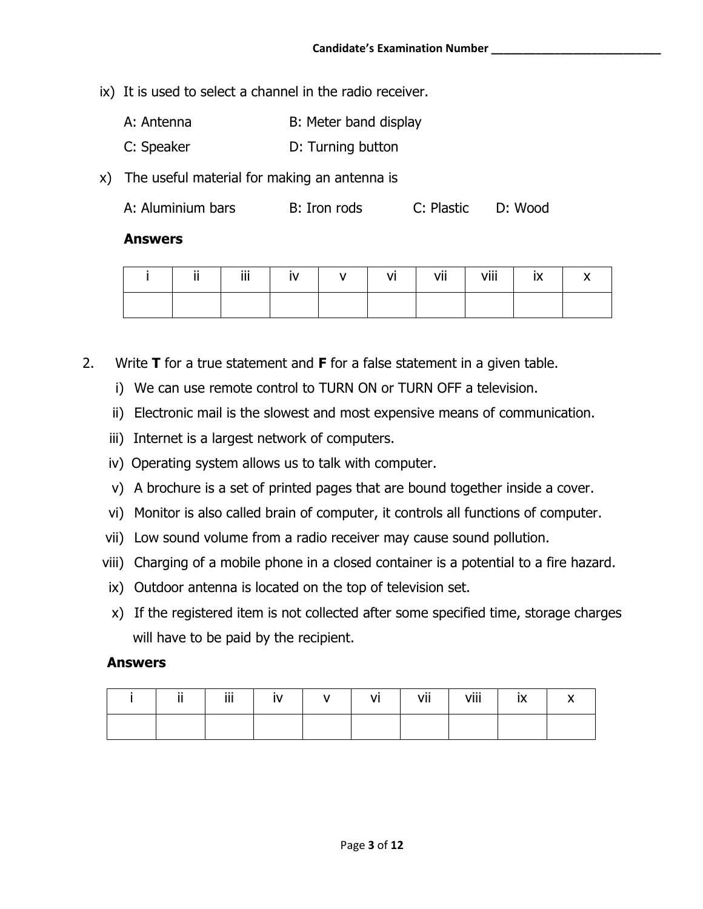- ix) It is used to select a channel in the radio receiver.
	- A: Antenna B: Meter band display
	- C: Speaker D: Turning button
- x) The useful material for making an antenna is

| A: Aluminium bars | B: Iron rods | C: Plastic | D: Wood |
|-------------------|--------------|------------|---------|
|-------------------|--------------|------------|---------|

#### **Answers**

| jj. | iii | $\vert$ iv $\vert$ v $\vert$ | vi   vii | viii l | ix |  |
|-----|-----|------------------------------|----------|--------|----|--|
|     |     |                              |          |        |    |  |

- 2. Write **T** for a true statement and **F** for a false statement in a given table.
	- i) We can use remote control to TURN ON or TURN OFF a television.
	- ii) Electronic mail is the slowest and most expensive means of communication.
	- iii) Internet is a largest network of computers.
	- iv) Operating system allows us to talk with computer.
	- v) A brochure is a set of printed pages that are bound together inside a cover.
	- vi) Monitor is also called brain of computer, it controls all functions of computer.
	- vii) Low sound volume from a radio receiver may cause sound pollution.
	- viii) Charging of a mobile phone in a closed container is a potential to a fire hazard.
	- ix) Outdoor antenna is located on the top of television set.
	- x) If the registered item is not collected after some specified time, storage charges will have to be paid by the recipient.

#### **Answers**

| . . | $111 -$<br> |  | . .<br>VI | vii | viii | IA. |  |
|-----|-------------|--|-----------|-----|------|-----|--|
|     |             |  |           |     |      |     |  |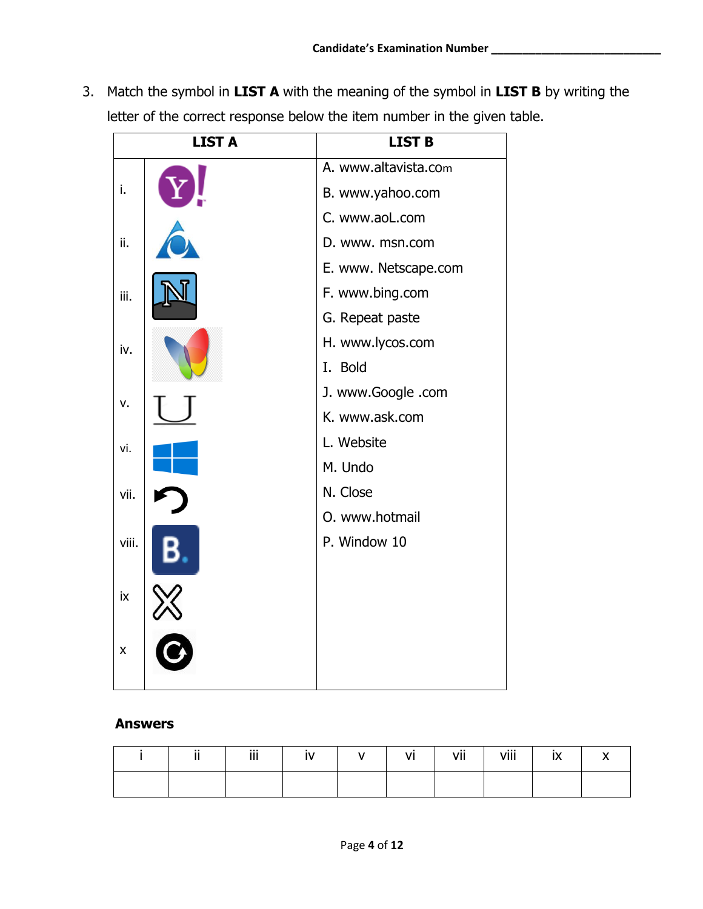3. Match the symbol in **LIST A** with the meaning of the symbol in **LIST B** by writing the letter of the correct response below the item number in the given table.

|       | <b>LIST A</b> | <b>LIST B</b>        |
|-------|---------------|----------------------|
|       |               | A. www.altavista.com |
| i.    |               | B. www.yahoo.com     |
|       |               | C. www.aoL.com       |
| ii.   |               | D. www. msn.com      |
|       |               | E. www. Netscape.com |
| iii.  |               | F. www.bing.com      |
|       |               | G. Repeat paste      |
| iv.   |               | H. www.lycos.com     |
|       |               | I. Bold              |
| v.    |               | J. www.Google .com   |
|       |               | K. www.ask.com       |
| vi.   |               | L. Website           |
|       |               | M. Undo              |
| vii.  |               | N. Close             |
|       |               | O. www.hotmail       |
| viii. |               | P. Window 10         |
| ix    |               |                      |
| X     |               |                      |

#### **Answers**

| $\cdot$ . | iii | ÎV. | $VI$ $I$ | vii | viii |  |
|-----------|-----|-----|----------|-----|------|--|
|           |     |     |          |     |      |  |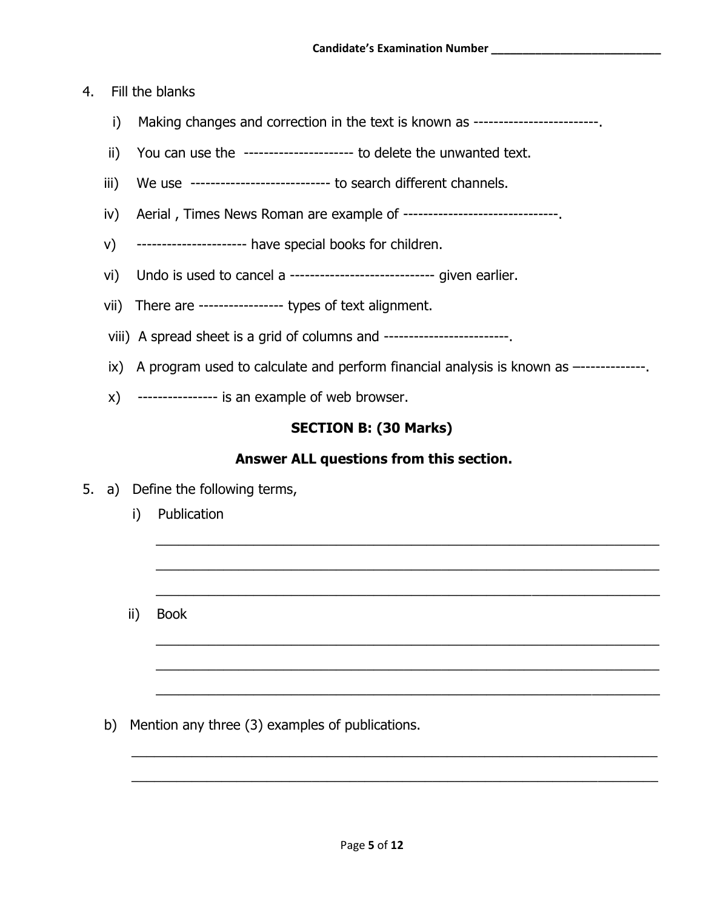#### 4. Fill the blanks

- i) Making changes and correction in the text is known as ------------------------
- ii) You can use the ---------------------- to delete the unwanted text.
- iii) We use ---------------------------- to search different channels.
- iv) Aerial, Times News Roman are example of ---------------------------------
- v) ---------------------- have special books for children.
- vi) Undo is used to cancel a ----------------------------- given earlier.
- vii) There are ----------------- types of text alignment.
- viii) A spread sheet is a grid of columns and -------------------------.
- ix) A program used to calculate and perform financial analysis is known as --------------
- x) ---------------- is an example of web browser.

#### **SECTION B: (30 Marks)**

#### **Answer ALL questions from this section.**

 $\_$  ,  $\_$  ,  $\_$  ,  $\_$  ,  $\_$  ,  $\_$  ,  $\_$  ,  $\_$  ,  $\_$  ,  $\_$  ,  $\_$  ,  $\_$  ,  $\_$  ,  $\_$  ,  $\_$  ,  $\_$  ,  $\_$  ,  $\_$  ,  $\_$  ,  $\_$  ,  $\_$  ,  $\_$  ,  $\_$  ,  $\_$  ,  $\_$  ,  $\_$  ,  $\_$  ,  $\_$  ,  $\_$  ,  $\_$  ,  $\_$  ,  $\_$  ,  $\_$  ,  $\_$  ,  $\_$  ,  $\_$  ,  $\_$  ,

 $\_$  ,  $\_$  ,  $\_$  ,  $\_$  ,  $\_$  ,  $\_$  ,  $\_$  ,  $\_$  ,  $\_$  ,  $\_$  ,  $\_$  ,  $\_$  ,  $\_$  ,  $\_$  ,  $\_$  ,  $\_$  ,  $\_$  ,  $\_$  ,  $\_$  ,  $\_$  ,  $\_$  ,  $\_$  ,  $\_$  ,  $\_$  ,  $\_$  ,  $\_$  ,  $\_$  ,  $\_$  ,  $\_$  ,  $\_$  ,  $\_$  ,  $\_$  ,  $\_$  ,  $\_$  ,  $\_$  ,  $\_$  ,  $\_$  ,

\_\_\_\_\_\_\_\_\_\_\_\_\_\_\_\_\_\_\_\_\_\_\_\_\_\_\_\_\_\_\_\_\_\_\_\_\_\_\_\_\_\_\_\_\_\_\_\_\_\_\_\_\_\_\_\_\_\_\_\_\_\_\_\_\_\_\_

 $\_$  ,  $\_$  ,  $\_$  ,  $\_$  ,  $\_$  ,  $\_$  ,  $\_$  ,  $\_$  ,  $\_$  ,  $\_$  ,  $\_$  ,  $\_$  ,  $\_$  ,  $\_$  ,  $\_$  ,  $\_$  ,  $\_$  ,  $\_$  ,  $\_$  ,  $\_$  ,  $\_$  ,  $\_$  ,  $\_$  ,  $\_$  ,  $\_$  ,  $\_$  ,  $\_$  ,  $\_$  ,  $\_$  ,  $\_$  ,  $\_$  ,  $\_$  ,  $\_$  ,  $\_$  ,  $\_$  ,  $\_$  ,  $\_$  ,

 $\_$  ,  $\_$  ,  $\_$  ,  $\_$  ,  $\_$  ,  $\_$  ,  $\_$  ,  $\_$  ,  $\_$  ,  $\_$  ,  $\_$  ,  $\_$  ,  $\_$  ,  $\_$  ,  $\_$  ,  $\_$  ,  $\_$  ,  $\_$  ,  $\_$  ,  $\_$  ,  $\_$  ,  $\_$  ,  $\_$  ,  $\_$  ,  $\_$  ,  $\_$  ,  $\_$  ,  $\_$  ,  $\_$  ,  $\_$  ,  $\_$  ,  $\_$  ,  $\_$  ,  $\_$  ,  $\_$  ,  $\_$  ,  $\_$  ,

 $\overline{\phantom{a}}$  , and the contribution of the contribution of the contribution of the contribution of the contribution of the contribution of the contribution of the contribution of the contribution of the contribution of the

 $\_$  ,  $\_$  ,  $\_$  ,  $\_$  ,  $\_$  ,  $\_$  ,  $\_$  ,  $\_$  ,  $\_$  ,  $\_$  ,  $\_$  ,  $\_$  ,  $\_$  ,  $\_$  ,  $\_$  ,  $\_$  ,  $\_$  ,  $\_$  ,  $\_$  ,  $\_$  ,  $\_$  ,  $\_$  ,  $\_$  ,  $\_$  ,  $\_$  ,  $\_$  ,  $\_$  ,  $\_$  ,  $\_$  ,  $\_$  ,  $\_$  ,  $\_$  ,  $\_$  ,  $\_$  ,  $\_$  ,  $\_$  ,  $\_$  ,

\_\_\_\_\_\_\_\_\_\_\_\_\_\_\_\_\_\_\_\_\_\_\_\_\_\_\_\_\_\_\_\_\_\_\_\_\_\_\_\_\_\_\_\_\_\_\_\_\_\_\_\_\_\_\_\_\_\_\_\_\_\_\_\_\_\_\_\_\_\_

- 5. a) Define the following terms,
	- i) Publication
	- ii) Book

b) Mention any three (3) examples of publications.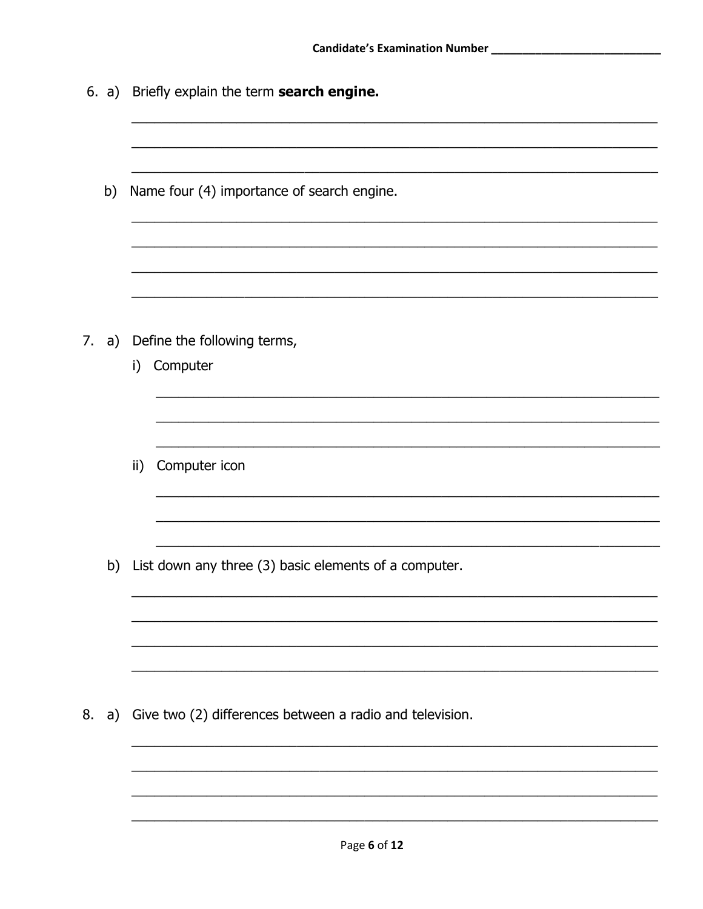|    |    | 6. a) Briefly explain the term search engine.            |  |  |  |  |  |  |
|----|----|----------------------------------------------------------|--|--|--|--|--|--|
|    | b) | Name four (4) importance of search engine.               |  |  |  |  |  |  |
| 7. | a) | Define the following terms,<br>Computer<br>i)            |  |  |  |  |  |  |
|    |    | Computer icon<br>$\mathsf{ii}$                           |  |  |  |  |  |  |
|    | b) | List down any three (3) basic elements of a computer.    |  |  |  |  |  |  |
| 8. | a) | Give two (2) differences between a radio and television. |  |  |  |  |  |  |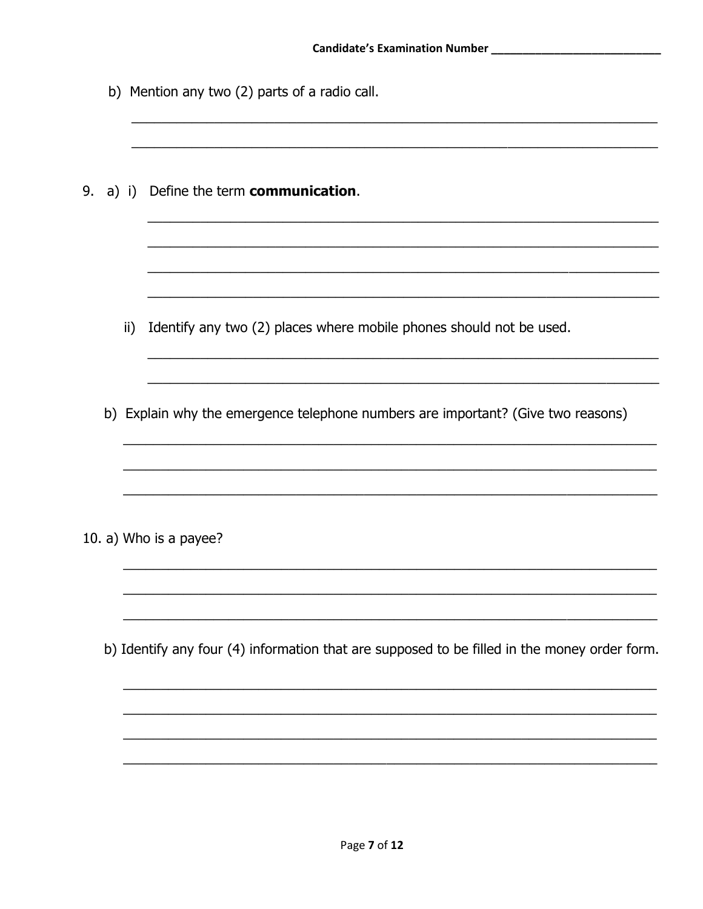|    |     | b) Mention any two (2) parts of a radio call.                                                |
|----|-----|----------------------------------------------------------------------------------------------|
| 9. |     | a) i) Define the term communication.                                                         |
|    | ii) | Identify any two (2) places where mobile phones should not be used.                          |
|    |     | b) Explain why the emergence telephone numbers are important? (Give two reasons)             |
|    |     | 10. a) Who is a payee?                                                                       |
|    |     | b) Identify any four (4) information that are supposed to be filled in the money order form. |
|    |     |                                                                                              |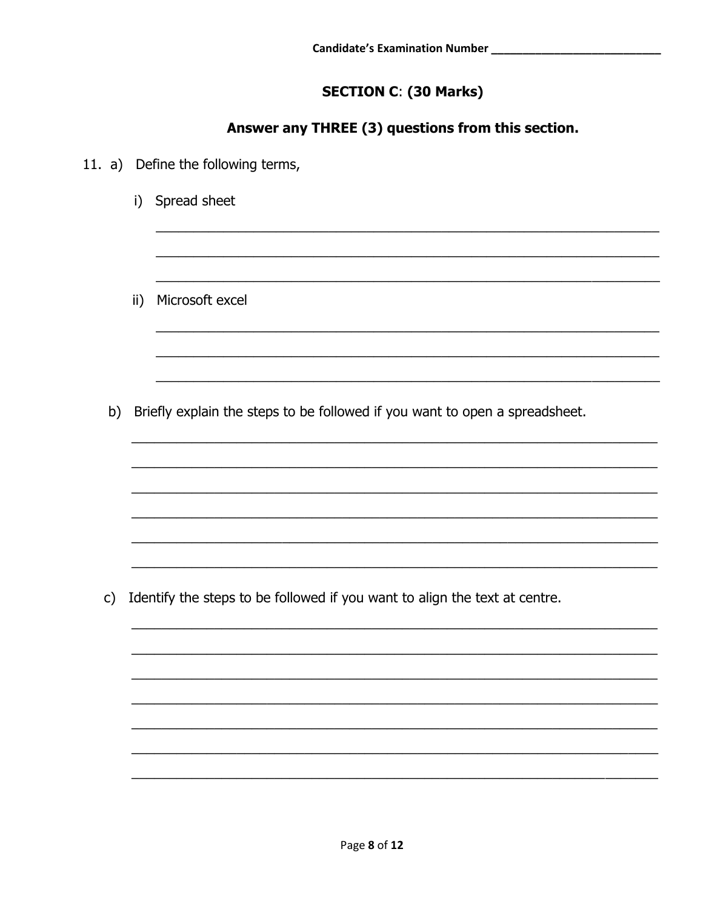# **SECTION C: (30 Marks)**

## Answer any THREE (3) questions from this section.

|               |               | 11. a) Define the following terms,                                          |
|---------------|---------------|-----------------------------------------------------------------------------|
|               | i)            | Spread sheet                                                                |
|               |               |                                                                             |
|               | $\mathsf{ii}$ | Microsoft excel                                                             |
|               |               |                                                                             |
| b)            |               | Briefly explain the steps to be followed if you want to open a spreadsheet. |
|               |               |                                                                             |
|               |               |                                                                             |
|               |               |                                                                             |
| $\mathsf{c})$ |               | Identify the steps to be followed if you want to align the text at centre.  |
|               |               |                                                                             |
|               |               |                                                                             |
|               |               |                                                                             |
|               |               |                                                                             |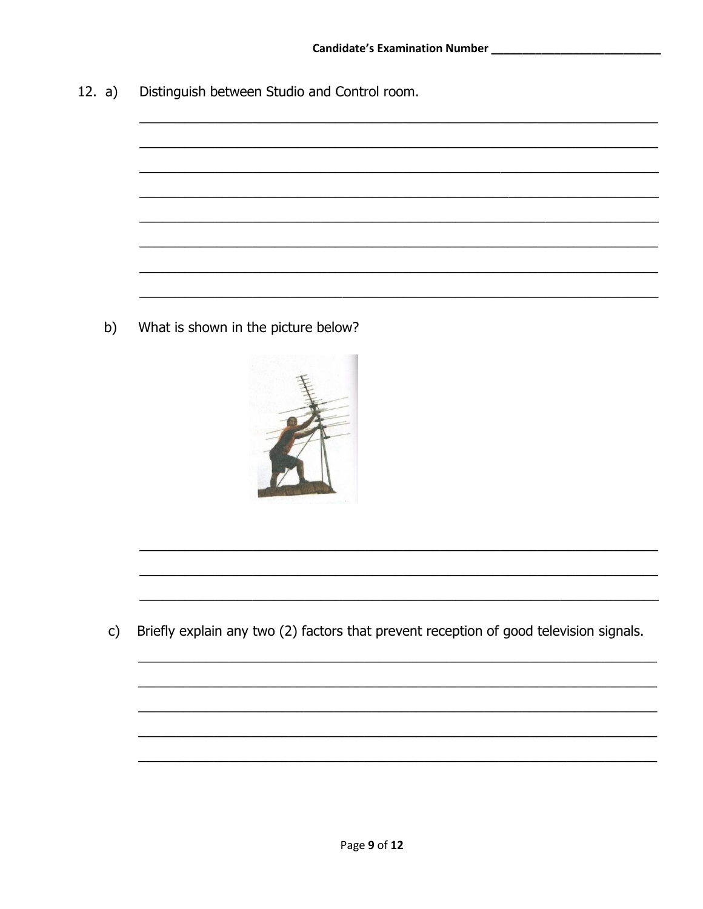$12. a)$ Distinguish between Studio and Control room.

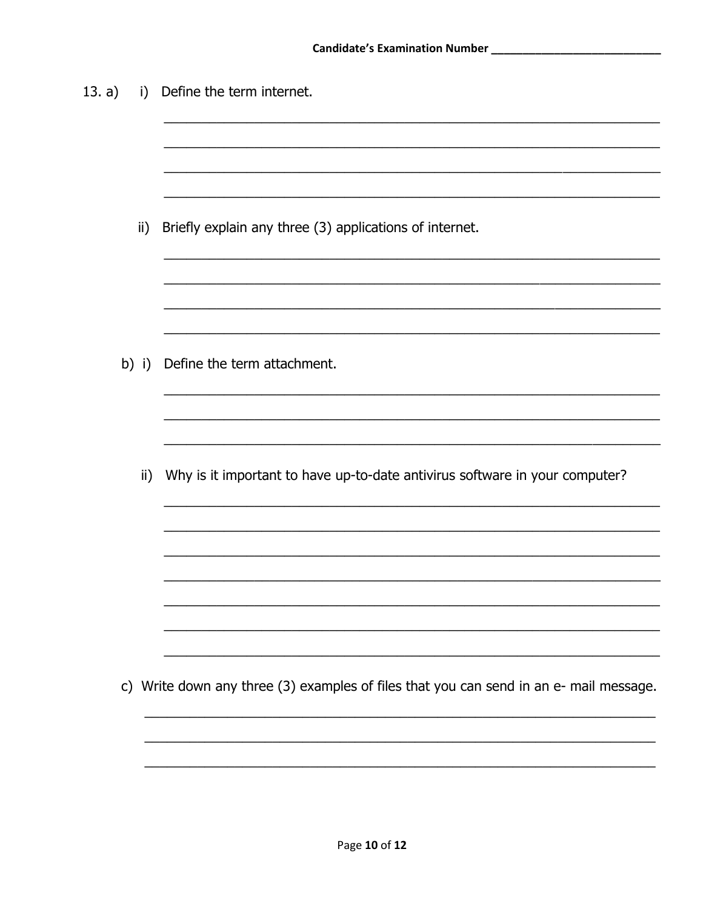| 13. a) | $\left  \right $ | Define the term internet.                                                              |
|--------|------------------|----------------------------------------------------------------------------------------|
|        |                  |                                                                                        |
|        |                  |                                                                                        |
|        | ii)              | Briefly explain any three (3) applications of internet.                                |
|        |                  |                                                                                        |
|        |                  |                                                                                        |
|        |                  | b) i) Define the term attachment.                                                      |
|        |                  |                                                                                        |
|        |                  |                                                                                        |
|        | $\mathsf{ii}$    | Why is it important to have up-to-date antivirus software in your computer?            |
|        |                  |                                                                                        |
|        |                  |                                                                                        |
|        |                  |                                                                                        |
|        |                  | c) Write down any three (3) examples of files that you can send in an e- mail message. |
|        |                  |                                                                                        |
|        |                  |                                                                                        |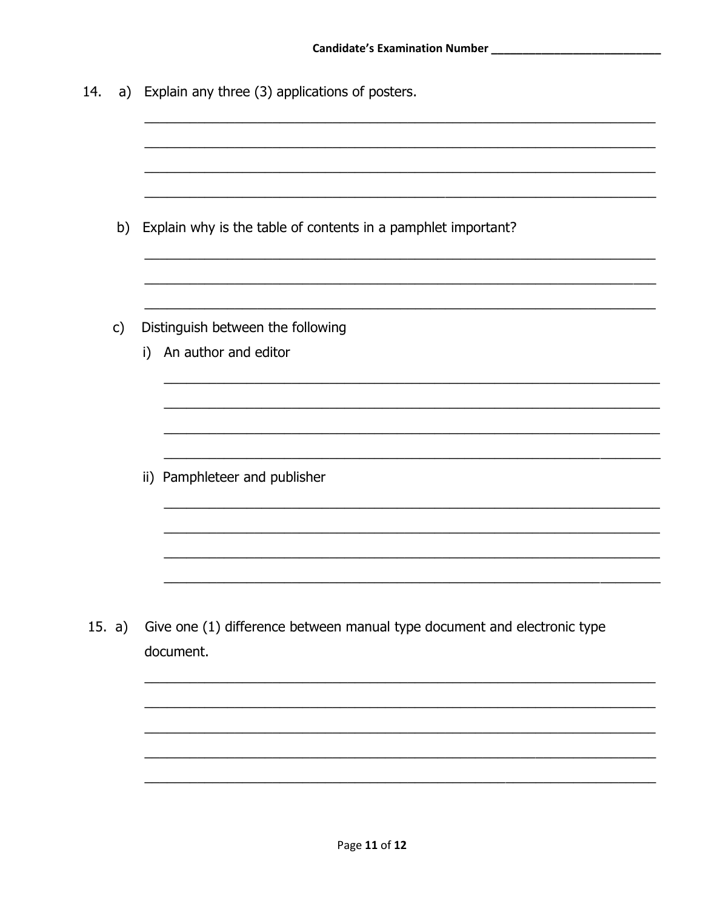| 14.      |               | a) Explain any three (3) applications of posters.                                     |
|----------|---------------|---------------------------------------------------------------------------------------|
|          |               |                                                                                       |
|          |               |                                                                                       |
|          | b)            | Explain why is the table of contents in a pamphlet important?                         |
|          |               |                                                                                       |
|          | $\mathsf{c})$ | Distinguish between the following                                                     |
|          |               | An author and editor<br>i)                                                            |
|          |               |                                                                                       |
|          |               |                                                                                       |
|          |               | ii) Pamphleteer and publisher                                                         |
|          |               |                                                                                       |
|          |               |                                                                                       |
|          |               |                                                                                       |
| 15. $a)$ |               | Give one (1) difference between manual type document and electronic type<br>document. |